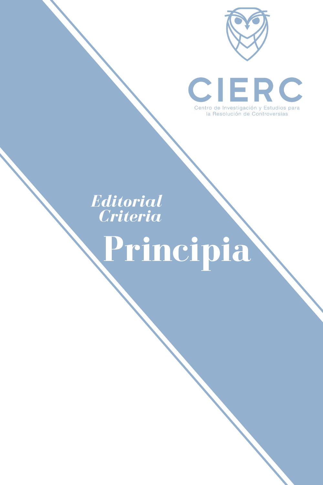



# **Editorial Criteria**

# Principia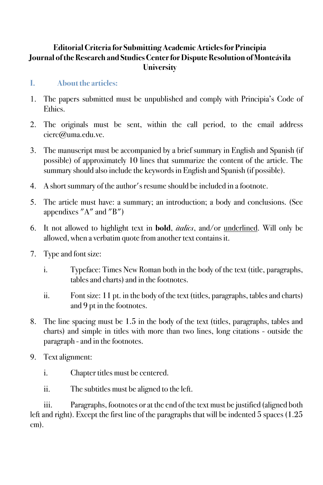# **Editorial Criteria for Submitting Academic Articles for Principia Journal of the Research and Studies Center for Dispute Resolution of Monteávila University**

# **I. About the articles:**

- 1. The papers submitted must be unpublished and comply with Principia's Code of Ethics.
- 2. The originals must be sent, within the call period, to the email address cierc@uma.edu.ve.
- 3. The manuscript must be accompanied by a brief summary in English and Spanish (if possible) of approximately 10 lines that summarize the content of the article. The summary should also include the keywords in English and Spanish (if possible).
- 4. A short summary of the author's resume should be included in a footnote.
- 5. The article must have: a summary; an introduction; a body and conclusions. (See appendixes "A" and "B")
- 6. It not allowed to highlight text in **bold**, *italics*, and/or underlined. Will only be allowed, when a verbatim quote from another text contains it.
- 7. Type and font size:
	- i. Typeface: Times New Roman both in the body of the text (title, paragraphs, tables and charts) and in the footnotes.
	- ii. Font size: 11 pt. in the body of the text (titles, paragraphs, tables and charts) and 9 pt in the footnotes.
- 8. The line spacing must be 1.5 in the body of the text (titles, paragraphs, tables and charts) and simple in titles with more than two lines, long citations - outside the paragraph - and in the footnotes.
- 9. Text alignment:
	- i. Chapter titles must be centered.
	- ii. The subtitles must be aligned to the left.

iii. Paragraphs, footnotes or at the end of the text must be justified (aligned both left and right). Except the first line of the paragraphs that will be indented 5 spaces (1.25 cm).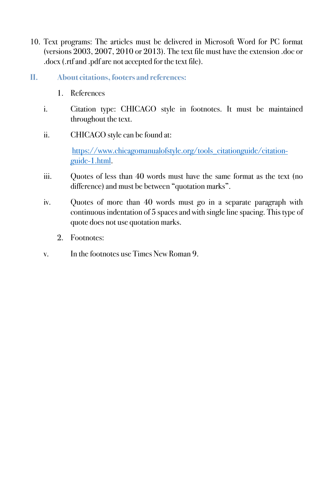- 10. Text programs: The articles must be delivered in Microsoft Word for PC format (versions 2003, 2007, 2010 or 2013). The text file must have the extension .doc or .docx (.rtf and .pdf are not accepted for the text file).
- **II. About citations, footers and references:** 
	- 1. References
	- i. Citation type: CHICAGO style in footnotes. It must be maintained throughout the text.
	- ii. CHICAGO style can be found at:

https://www.chicagomanualofstyle.org/tools\_citationguide/citationguide-1.html.

- iii. Quotes of less than 40 words must have the same format as the text (no difference) and must be between "quotation marks".
- iv. Quotes of more than 40 words must go in a separate paragraph with continuous indentation of 5 spaces and with single line spacing. This type of quote does not use quotation marks.
	- 2. Footnotes:
- v. In the footnotes use Times New Roman 9.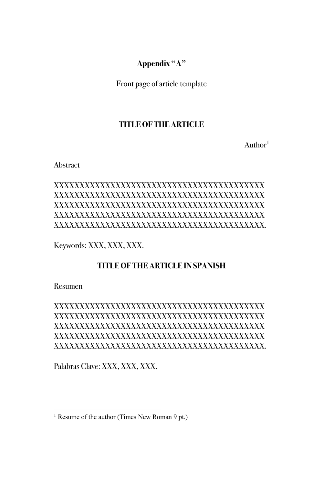# **Appendix "A"**

Front page of article template

# **TITLE OF THE ARTICLE**

Author<sup>1</sup>

Abstract

# XXXXXXXXXXXXXXXXXXXXXXXXXXXXXXXXXXXXXXXXX XXXXXXXXXXXXXXXXXXXXXXXXXXXXXXXXXXXXXXXXX XXXXXXXXXXXXXXXXXXXXXXXXXXXXXXXXXXXXXXXXX XXXXXXXXXXXXXXXXXXXXXXXXXXXXXXXXXXXXXXXXX XXXXXXXXXXXXXXXXXXXXXXXXXXXXXXXXXXXXXXXXX.

Keywords: XXX, XXX, XXX.

# **TITLE OF THE ARTICLE IN SPANISH**

Resumen

# XXXXXXXXXXXXXXXXXXXXXXXXXXXXXXXXXXXXXXXXX XXXXXXXXXXXXXXXXXXXXXXXXXXXXXXXXXXXXXXXXX XXXXXXXXXXXXXXXXXXXXXXXXXXXXXXXXXXXXXXXXX XXXXXXXXXXXXXXXXXXXXXXXXXXXXXXXXXXXXXXXXX XXXXXXXXXXXXXXXXXXXXXXXXXXXXXXXXXXXXXXXXX.

Palabras Clave: XXX, XXX, XXX.

<sup>&</sup>lt;sup>1</sup> Resume of the author (Times New Roman 9 pt.)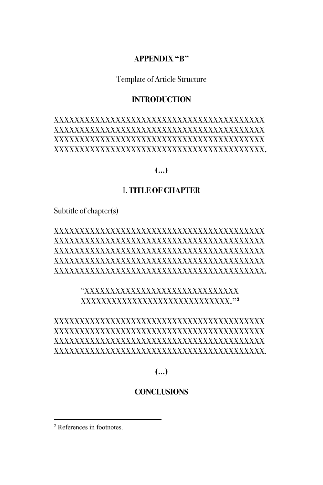#### **APPENDIX "B"**

Template of Article Structure

#### **INTRODUCTION**

# XXXXXXXXXXXXXXXXXXXXXXXXXXXXXXXXXXXXXXXXX XXXXXXXXXXXXXXXXXXXXXXXXXXXXXXXXXXXXXXXXX XXXXXXXXXXXXXXXXXXXXXXXXXXXXXXXXXXXXXXXXX XXXXXXXXXXXXXXXXXXXXXXXXXXXXXXXXXXXXXXXXX**.**

#### **(…)**

#### I**. TITLE OF CHAPTER**

Subtitle of chapter(s)

## XXXXXXXXXXXXXXXXXXXXXXXXXXXXXXXXXXXXXXXXX XXXXXXXXXXXXXXXXXXXXXXXXXXXXXXXXXXXXXXXXX XXXXXXXXXXXXXXXXXXXXXXXXXXXXXXXXXXXXXXXXX XXXXXXXXXXXXXXXXXXXXXXXXXXXXXXXXXXXXXXXXX XXXXXXXXXXXXXXXXXXXXXXXXXXXXXXXXXXXXXXXXX**.**

#### "XXXXXXXXXXXXXXXXXXXXXXXXXXXXXX XXXXXXXXXXXXXXXXXXXXXXXXXXXXX**."2**

## XXXXXXXXXXXXXXXXXXXXXXXXXXXXXXXXXXXXXXXXX XXXXXXXXXXXXXXXXXXXXXXXXXXXXXXXXXXXXXXXXX XXXXXXXXXXXXXXXXXXXXXXXXXXXXXXXXXXXXXXXXX XXXXXXXXXXXXXXXXXXXXXXXXXXXXXXXXXXXXXXXXX.

**(…)**

#### **CONCLUSIONS**

<sup>2</sup> References in footnotes.